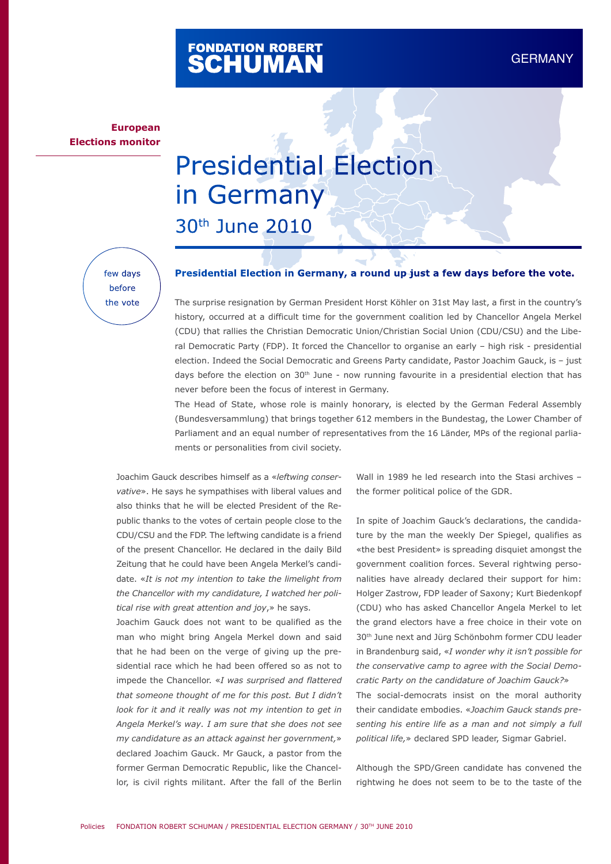# FONDATION ROBERT<br>**SCHUMAN**

### **European Elections monitor**

## Presidential Election in Germany 30th June 2010

few days before the vote

#### **Presidential Election in Germany, a round up just a few days before the vote.**

The surprise resignation by German President Horst Köhler on 31st May last, a first in the country's history, occurred at a difficult time for the government coalition led by Chancellor Angela Merkel (CDU) that rallies the Christian Democratic Union/Christian Social Union (CDU/CSU) and the Liberal Democratic Party (FDP). It forced the Chancellor to organise an early – high risk - presidential election. Indeed the Social Democratic and Greens Party candidate, Pastor Joachim Gauck, is – just days before the election on 30<sup>th</sup> June - now running favourite in a presidential election that has never before been the focus of interest in Germany.

The Head of State, whose role is mainly honorary, is elected by the German Federal Assembly (Bundesversammlung) that brings together 612 members in the Bundestag, the Lower Chamber of Parliament and an equal number of representatives from the 16 Länder, MPs of the regional parliaments or personalities from civil society.

Joachim Gauck describes himself as a «*leftwing conservative*». He says he sympathises with liberal values and also thinks that he will be elected President of the Republic thanks to the votes of certain people close to the CDU/CSU and the FDP. The leftwing candidate is a friend of the present Chancellor. He declared in the daily Bild Zeitung that he could have been Angela Merkel's candidate. «*It is not my intention to take the limelight from the Chancellor with my candidature, I watched her political rise with great attention and joy*,» he says.

Joachim Gauck does not want to be qualified as the man who might bring Angela Merkel down and said that he had been on the verge of giving up the presidential race which he had been offered so as not to impede the Chancellor. «*I was surprised and flattered that someone thought of me for this post. But I didn't look for it and it really was not my intention to get in Angela Merkel's way. I am sure that she does not see my candidature as an attack against her government,*» declared Joachim Gauck. Mr Gauck, a pastor from the former German Democratic Republic, like the Chancellor, is civil rights militant. After the fall of the Berlin Wall in 1989 he led research into the Stasi archives – the former political police of the GDR.

In spite of Joachim Gauck's declarations, the candidature by the man the weekly Der Spiegel, qualifies as «the best President» is spreading disquiet amongst the government coalition forces. Several rightwing personalities have already declared their support for him: Holger Zastrow, FDP leader of Saxony; Kurt Biedenkopf (CDU) who has asked Chancellor Angela Merkel to let the grand electors have a free choice in their vote on 30th June next and Jürg Schönbohm former CDU leader in Brandenburg said, «*I wonder why it isn't possible for the conservative camp to agree with the Social Democratic Party on the candidature of Joachim Gauck?*» The social-democrats insist on the moral authority their candidate embodies. «*Joachim Gauck stands presenting his entire life as a man and not simply a full political life,*» declared SPD leader, Sigmar Gabriel.

Although the SPD/Green candidate has convened the rightwing he does not seem to be to the taste of the